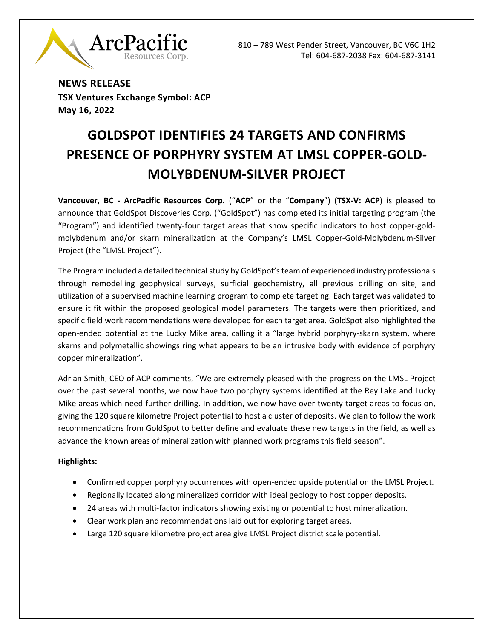810 – 789 West Pender Street, Vancouver, BC V6C 1H2 Tel: 604-687-2038 Fax: 604-687-3141



**NEWS RELEASE TSX Ventures Exchange Symbol: ACP May 16, 2022**

# **GOLDSPOT IDENTIFIES 24 TARGETS AND CONFIRMS PRESENCE OF PORPHYRY SYSTEM AT LMSL COPPER-GOLD-MOLYBDENUM-SILVER PROJECT**

**Vancouver, BC ‐ ArcPacific Resources Corp.** ("**ACP**" or the "**Company**") **(TSX-V: ACP**) is pleased to announce that GoldSpot Discoveries Corp. ("GoldSpot") has completed its initial targeting program (the "Program") and identified twenty-four target areas that show specific indicators to host copper-goldmolybdenum and/or skarn mineralization at the Company's LMSL Copper-Gold-Molybdenum-Silver Project (the "LMSL Project").

The Program included a detailed technical study by GoldSpot'steam of experienced industry professionals through remodelling geophysical surveys, surficial geochemistry, all previous drilling on site, and utilization of a supervised machine learning program to complete targeting. Each target was validated to ensure it fit within the proposed geological model parameters. The targets were then prioritized, and specific field work recommendations were developed for each target area. GoldSpot also highlighted the open-ended potential at the Lucky Mike area, calling it a "large hybrid porphyry-skarn system, where skarns and polymetallic showings ring what appears to be an intrusive body with evidence of porphyry copper mineralization".

Adrian Smith, CEO of ACP comments, "We are extremely pleased with the progress on the LMSL Project over the past several months, we now have two porphyry systems identified at the Rey Lake and Lucky Mike areas which need further drilling. In addition, we now have over twenty target areas to focus on, giving the 120 square kilometre Project potential to host a cluster of deposits. We plan to follow the work recommendations from GoldSpot to better define and evaluate these new targets in the field, as well as advance the known areas of mineralization with planned work programs this field season".

## **Highlights:**

- Confirmed copper porphyry occurrences with open-ended upside potential on the LMSL Project.
- Regionally located along mineralized corridor with ideal geology to host copper deposits.
- 24 areas with multi-factor indicators showing existing or potential to host mineralization.
- Clear work plan and recommendations laid out for exploring target areas.
- Large 120 square kilometre project area give LMSL Project district scale potential.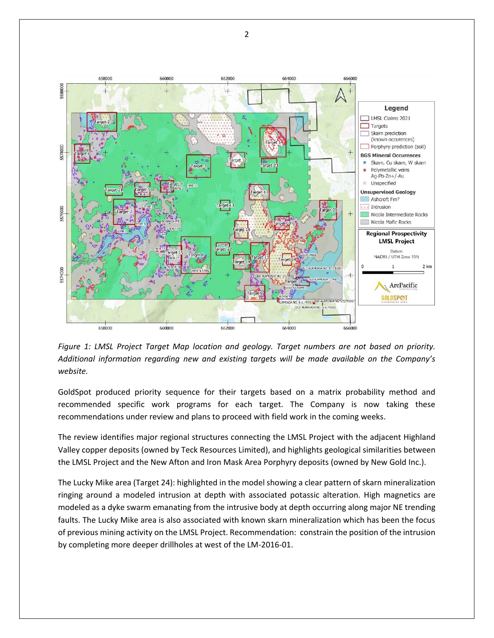

*Figure 1: LMSL Project Target Map location and geology. Target numbers are not based on priority. Additional information regarding new and existing targets will be made available on the Company's website.*

GoldSpot produced priority sequence for their targets based on a matrix probability method and recommended specific work programs for each target. The Company is now taking these recommendations under review and plans to proceed with field work in the coming weeks.

The review identifies major regional structures connecting the LMSL Project with the adjacent Highland Valley copper deposits (owned by Teck Resources Limited), and highlights geological similarities between the LMSL Project and the New Afton and Iron Mask Area Porphyry deposits (owned by New Gold Inc.).

The Lucky Mike area (Target 24): highlighted in the model showing a clear pattern of skarn mineralization ringing around a modeled intrusion at depth with associated potassic alteration. High magnetics are modeled as a dyke swarm emanating from the intrusive body at depth occurring along major NE trending faults. The Lucky Mike area is also associated with known skarn mineralization which has been the focus of previous mining activity on the LMSL Project. Recommendation: constrain the position of the intrusion by completing more deeper drillholes at west of the LM-2016-01.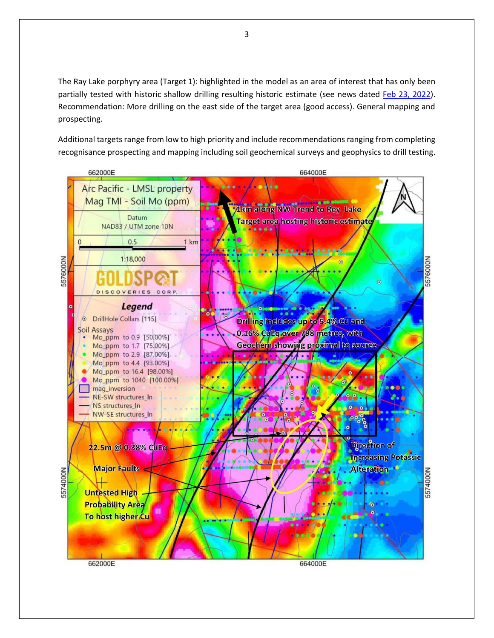The Ray Lake porphyry area (Target 1): highlighted in the model as an area of interest that has only been partially tested with historic shallow drilling resulting historic estimate (see news dated [Feb 23, 2022\)](https://www.newsfilecorp.com/release/114553/ArcPacific-Adds-the-Rey-Lake-Porphyry-and-Skarn-To-LMSL-CopperGoldSilver-Project). Recommendation: More drilling on the east side of the target area (good access). General mapping and prospecting.

Additional targets range from low to high priority and include recommendations ranging from completing recognisance prospecting and mapping including soil geochemical surveys and geophysics to drill testing.

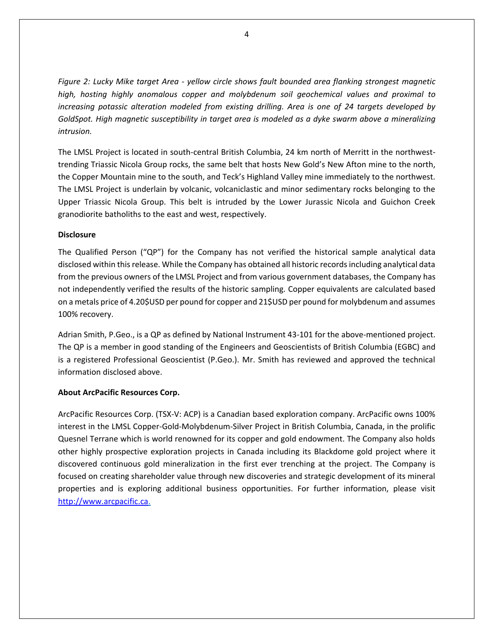*Figure 2: Lucky Mike target Area - yellow circle shows fault bounded area flanking strongest magnetic high, hosting highly anomalous copper and molybdenum soil geochemical values and proximal to increasing potassic alteration modeled from existing drilling. Area is one of 24 targets developed by GoldSpot. High magnetic susceptibility in target area is modeled as a dyke swarm above a mineralizing intrusion.*

The LMSL Project is located in south-central British Columbia, 24 km north of Merritt in the northwesttrending Triassic Nicola Group rocks, the same belt that hosts New Gold's New Afton mine to the north, the Copper Mountain mine to the south, and Teck's Highland Valley mine immediately to the northwest. The LMSL Project is underlain by volcanic, volcaniclastic and minor sedimentary rocks belonging to the Upper Triassic Nicola Group. This belt is intruded by the Lower Jurassic Nicola and Guichon Creek granodiorite batholiths to the east and west, respectively.

#### **Disclosure**

The Qualified Person ("QP") for the Company has not verified the historical sample analytical data disclosed within this release. While the Company has obtained all historic records including analytical data from the previous owners of the LMSL Project and from various government databases, the Company has not independently verified the results of the historic sampling. Copper equivalents are calculated based on a metals price of 4.20\$USD per pound for copper and 21\$USD per pound for molybdenum and assumes 100% recovery.

Adrian Smith, P.Geo., is a QP as defined by National Instrument 43-101 for the above-mentioned project. The QP is a member in good standing of the Engineers and Geoscientists of British Columbia (EGBC) and is a registered Professional Geoscientist (P.Geo.). Mr. Smith has reviewed and approved the technical information disclosed above.

## **About ArcPacific Resources Corp.**

ArcPacific Resources Corp. (TSX-V: ACP) is a Canadian based exploration company. ArcPacific owns 100% interest in the LMSL Copper-Gold-Molybdenum-Silver Project in British Columbia, Canada, in the prolific Quesnel Terrane which is world renowned for its copper and gold endowment. The Company also holds other highly prospective exploration projects in Canada including its Blackdome gold project where it discovered continuous gold mineralization in the first ever trenching at the project. The Company is focused on creating shareholder value through new discoveries and strategic development of its mineral properties and is exploring additional business opportunities. For further information, please visit http://www.arcpacific.ca.